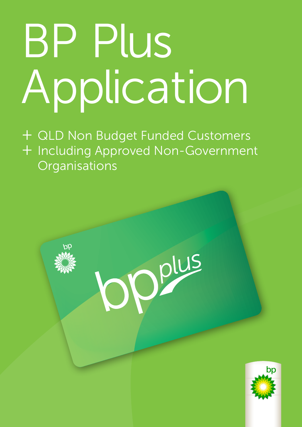# BP Plus Application

+ QLD Non Budget Funded Customers + Including Approved Non-Government **Organisations** 

Opplus



Page 1 of 10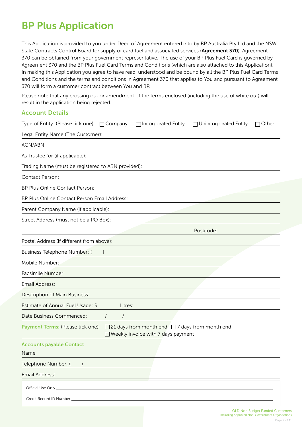## BP Plus Application

This Application is provided to you under Deed of Agreement entered into by BP Australia Pty Ltd and the NSW State Contracts Control Board for supply of card fuel and associated services (Agreement 370). Agreement 370 can be obtained from your government representative. The use of your BP Plus Fuel Card is governed by Agreement 370 and the BP Plus Fuel Card Terms and Conditions (which are also attached to this Application). In making this Application you agree to have read, understood and be bound by all the BP Plus Fuel Card Terms and Conditions and the terms and conditions in Agreement 370 that applies to You and pursuant to Agreement 370 will form a customer contract between You and BP.

Please note that any crossing out or amendment of the terms enclosed (including the use of white out) will result in the application being rejected.

## Account Details

| Type of Entity: (Please tick one) □ Company<br>Incorporated Entity<br>□ Unincorporated Entity<br>$\Box$ Other                 |
|-------------------------------------------------------------------------------------------------------------------------------|
| Legal Entity Name (The Customer):                                                                                             |
| ACN/ABN:                                                                                                                      |
| As Trustee for (if applicable):                                                                                               |
| Trading Name (must be registered to ABN provided):                                                                            |
| Contact Person:                                                                                                               |
| BP Plus Online Contact Person:                                                                                                |
| BP Plus Online Contact Person Email Address:                                                                                  |
| Parent Company Name (if applicable):                                                                                          |
| Street Address (must not be a PO Box):                                                                                        |
| Postcode:                                                                                                                     |
| Postal Address (if different from above):                                                                                     |
| Business Telephone Number: (                                                                                                  |
| Mobile Number:                                                                                                                |
| Facsimile Number:                                                                                                             |
| <b>Email Address:</b>                                                                                                         |
| Description of Main Business:                                                                                                 |
| Estimate of Annual Fuel Usage: \$<br>Litres:                                                                                  |
| Date Business Commenced:<br>$\prime$<br>$\sqrt{2}$                                                                            |
| 21 days from month end $\Box$ 7 days from month end<br>Payment Terms: (Please tick one)<br>Weekly invoice with 7 days payment |
| <b>Accounts payable Contact</b><br>Name                                                                                       |
| Telephone Number: (<br>$\mathcal{L}$                                                                                          |
| Email Address:                                                                                                                |
| Official Use Only_<br>Credit Record ID Number                                                                                 |

domers Including Approved Non-Government Organisations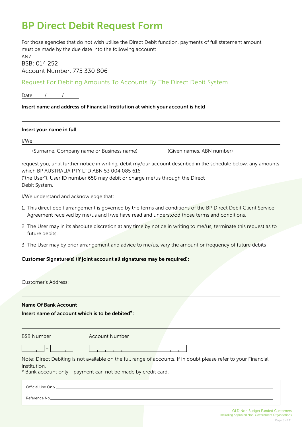## BP Direct Debit Request Form

For those agencies that do not wish utilise the Direct Debit function, payments of full statement amount must be made by the due date into the following account:

ANZ BSB: 014 252 Account Number: 775 330 806

Request For Debiting Amounts To Accounts By The Direct Debit System

Date / /

## Insert name and address of Financial Institution at which your account is held

### Insert your name in full

I/We

(Surname, Company name or Business name) (Given names, ABN number)

request you, until further notice in writing, debit my/our account described in the schedule below, any amounts which BP AUSTRALIA PTY LTD ABN 53 004 085 616

("the User"). User ID number 658 may debit or charge me/us through the Direct Debit System.

I/We understand and acknowledge that:

- 1. This direct debit arrangement is governed by the terms and conditions of the BP Direct Debit Client Service Agreement received by me/us and I/we have read and understood those terms and conditions.
- 2. The User may in its absolute discretion at any time by notice in writing to me/us, terminate this request as to future debits.
- 3. The User may by prior arrangement and advice to me/us, vary the amount or frequency of future debits

## Customer Signature(s) (If joint account all signatures may be required):

| Customer's Address:                             |                                                                                                                                                                                   |
|-------------------------------------------------|-----------------------------------------------------------------------------------------------------------------------------------------------------------------------------------|
| <b>Name Of Bank Account</b>                     |                                                                                                                                                                                   |
| Insert name of account which is to be debited*: |                                                                                                                                                                                   |
| <b>BSB Number</b>                               | <b>Account Number</b>                                                                                                                                                             |
|                                                 |                                                                                                                                                                                   |
| Institution.                                    | Note: Direct Debiting is not available on the full range of accounts. If in doubt please refer to your Financial<br>* Bank account only - payment can not be made by credit card. |
| Official Use Only _                             |                                                                                                                                                                                   |
| Reference No                                    |                                                                                                                                                                                   |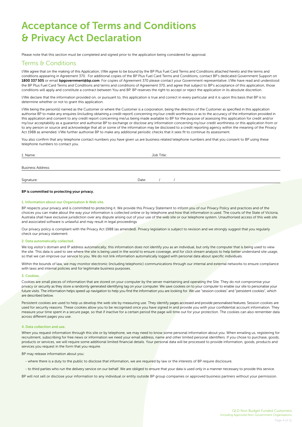## Acceptance of Terms and Conditions & Privacy Act Declaration

Please note that this section must be completed and signed prior to the application being considered for approval.

## Terms & Conditions

I/We agree that on the making of this Application, I/We agree to be bound by the BP Plus Fuel Card Terms and Conditions attached hereto and the terms and conditions appearing in Agreement 370. For additional copies of the BP Plus Fuel Card Terms and Conditions, contact BP's dedicated Government Support on 1800 337 505 or email bpgovernment@bp.com. For copies of Agreement 370 please contact your Government representative. I/We have read and understood the BP Plus Fuel Card Terms and Conditions and terms and conditions of Agreement 370, and agree that subject to BP's acceptance of this application, those conditions will apply and constitute a contract between You and BP. BP reserves the right to accept or reject the application in its absolute discretion.

I/We declare that the information provided on, or pursuant to, this application is true and correct in every particular and it is upon this basis that BP is to determine whether or not to grant this application.

I/We being the person(s) named as the Customer or where the Customer is a corporation, being the directors of the Customer as specified in this application authorise BP to make any enquires (including obtaining a credit report) concerning my/our credit worthiness or as to the accuracy of the information provided in this application and consent to any credit report concerning me/us being made available to BP for the purpose of assessing this application for credit and/or my/our acceptability as a guarantor and authorise BP to exchange or disclose any information concerning my/our credit worthiness or this application from or to any person or source and acknowledge that all or some of the information may be disclosed to a credit reporting agency within the meaning of the Privacy Act 1988 as amended. I/We further authorise BP to make any additional periodic checks that it sees fit to continue its assessment.

You also confirm that any telephone contact numbers you have given us are business related telephone numbers and that you consent to BP using these telephone numbers to contact you.

| 1. Name:                 | Job Title: |  |  |  |  |  |  |
|--------------------------|------------|--|--|--|--|--|--|
| <b>Business Address:</b> |            |  |  |  |  |  |  |
| Signature:               | Date:      |  |  |  |  |  |  |

#### BP is committed to protecting your privacy.

#### 1. Information about our Organisation & Web site.

BP respects your privacy and is committed to protecting it. We provide this Privacy Statement to inform you of our Privacy Policy and practices and of the choices you can make about the way your information is collected online or by telephone and how that information is used. The courts of the State of Victoria, Australia shall have exclusive jurisdiction over any dispute arising out of your use of the web site or our telephone system. Unauthorised access of this web site and associated software is unlawful and may result in legal proceedings

Our privacy policy is compliant with the Privacy Act 1988 (as amended). Privacy legislation is subject to revision and we strongly suggest that you regularly check our privacy statement.

#### 2. Data automatically collected.

We log visitor's domain and IP address automatically; this information does not identify you as an individual, but only the computer that is being used to view the site. This data is used to see where the site is being used in the world to ensure coverage, and for click stream analysis to help better understand site usage, so that we can improve our service to you. We do not link information automatically logged with personal data about specific individuals.

Within the bounds of law, we may monitor electronic (including telephonic) communications through our internal and external networks to ensure compliance with laws and internal policies and for legitimate business purposes.

#### 3. Cookies.

Cookies are small pieces of information that are stored on your computer by the server maintaining and operating the Site. They do not compromise your privacy or security as they store a randomly generated identifying tag on your computer. We save cookies on to your computer to enable our site to personalise your future visits. The information helps speed up navigation to help you find the information you are looking for. We use "session cookies" and "persistent cookies", which are described below.

Persistent cookies are used to help us develop the web site by measuring use. They identify pages accessed and provide personalised features. Session cookies are used for security reasons. These cookies allow you to be recognised once you have signed in and provide you with your confidential account information. They measure your time spent in a secure page, so that if inactive for a certain period the page will time out for your protection. The cookies can also remember data across different pages you use.

#### 4. Data collection and use.

When you request information through this site or by telephone, we may need to know some personal information about you. When emailing us, registering for recruitment, subscribing for free news or information we need your email address, name and other limited personal identifiers. If you chose to purchase, goods, products or services, we will require some additional limited financial details. Your personal data will be processed to provide information, goods, products and services you request in the form that you require.

BP may release information about you:

- where there is a duty to the public to disclose that information, we are required by law or the interests of BP require disclosure.

- to third parties who run the delivery service on our behalf. We are obliged to ensure that your data is used only in a manner necessary to provide this service.

BP will not sell or disclose your information to any individual or entity outside BP group companies or approved business partners without your permission.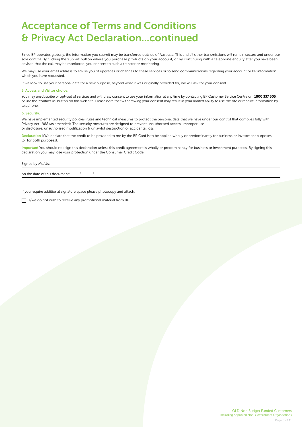# Acceptance of Terms and Conditions & Privacy Act Declaration...continued

Since BP operates globally, the information you submit may be transferred outside of Australia. This and all other transmissions will remain secure and under our sole control. By clicking the 'submit' button where you purchase products on your account, or by continuing with a telephone enquiry after you have been advised that the call may be monitored, you consent to such a transfer or monitoring.

We may use your email address to advise you of upgrades or changes to these services or to send communications regarding your account or BP information which you have requested.

If we look to use your personal data for a new purpose, beyond what it was originally provided for, we will ask for your consent.

#### 5. Access and Visitor choice.

You may unsubscribe or opt-out of services and withdraw consent to use your information at any time by contacting BP Customer Service Centre on 1800 337 505, or use the 'contact us' button on this web site. Please note that withdrawing your consent may result in your limited ability to use the site or receive information by telephone.

#### 6. Security.

We have implemented security policies, rules and technical measures to protect the personal data that we have under our control that complies fully with Privacy Act 1988 (as amended). The security measures are designed to prevent unauthorised access, improper use or disclosure, unauthorised modification & unlawful destruction or accidental loss.

Declaration I/We declare that the credit to be provided to me by the BP Card is to be applied wholly or predominantly for business or investment purposes (or for both purposes).

Important You should not sign this declaration unless this credit agreement is wholly or predominantly for business or investment purposes. By signing this declaration you may lose your protection under the Consumer Credit Code.

#### Signed by Me/Us:

on the date of this document:  $/$  /

If you require additional signature space please photocopy and attach.

 $\Box$  I/we do not wish to receive any promotional material from BP.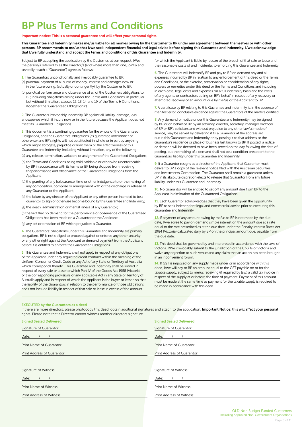# BP Plus Terms and Conditions

#### Important notice: This is a personal guarantee and will affect your personal rights.

This Guarantee and Indemnity makes me/us liable for all monies owing by the Customer to BP under any agreement between themselves or with other persons. BP recommends to me/us that I/we seek independent financial and legal advice before signing this Guarantee and Indemnity. I/we acknowledge that I/we fully understand and accept the terms and conditions of this Guarantee and Indemnity.

Subject to BP accepting the application by the Customer, at our request, I/We the person/s referred to as the Director/s (and where more than one, jointly and severally) (each a "Guarantor") agree as follows:

- 1. The Guarantors unconditionally and irrevocably guarantee to BP: (a) punctual payment of all sums of money, interest and damages now or in the future owing, (actually or contingently), by the Customer to BP.
- (b) punctual performance and observance of all of the Customers obligations to BP, including obligations arising under the Terms and Conditions, in particular but without limitation, clauses 12, 13, 14 and 19 of the Terms & Conditions; (together the "Guaranteed Obligations").

2. The Guarantors irrevocably indemnify BP against all liability, damage, loss andexpense which it incurs now or in the future because the Applicant does not meet its Guaranteed Obligations.

3. This document is a continuing guarantee for the whole of the Guaranteed Obligations, and the Guarantors' obligations (as guarantor, indemnifier or otherwise) and BP's rights will not be affected in whole or in part by anything which might abrogate, prejudice or limit them or the effectiveness of this Guarantee and Indemnity, including without limitation, any of the following:

(a) any release, termination, variation, or assignment of the Guaranteed Obligations;

- (b) the Terms and Conditions being void, voidable or otherwise unenforceable by BP in accordance with its terms or BP being stopped from receiving theperformance and observance of the Guaranteed Obligations from the Applicant;
- (c) the granting of any forbearance, time or other indulgence to or the making of any composition, comprise or arrangement with or the discharge or release of any Guarantor or the Applicant;
- (d) the failure by any director of the Applicant or any other person intended to be a guarantor to sign or otherwise become bound by this Guarantee and Indemnity;
- (e) the death, administration or mental illness of any Guarantor;
- (f) the fact that no demand for the performance or observance of the Guaranteed Obligations has been made on a Guarantor or the Applicant;
- (g) any act or omission of BP which prejudices a Guarantor.

4. The Guarantors' obligations under this Guarantee and Indemnity are primary obligations. BP is not obliged to proceed against or enforce any other security or any other right against the Applicant or demand payment from the Applicant before it is entitled to enforce the Guaranteed Obligations.

**5.** This Guarantee and Indemnity shall not apply in respect of any obligations of the Applicant under any regulated credit contract within the meaning of the Uniform Consumer Credit Code or any Act of any State or Territory of Australia which corresponds thereto. This Guarantee and Indemnity shall be limited in respect of every sale or lease to which Part IV of the Goods Act 1958 (Victoria) or the corresponding provisions of any applicable Act in any State or Territory of Australia apply and in respect of which the Applicant is the buyer or lessee so that the liability of the Guarantors in relation to the performance of those obligations does not include liability in respect of that sale or lease in excess of the amount

for which the Applicant is liable by reason of the breach of that sale or lease and the reasonable costs of and incidental to enforcing this Guarantee and Indemnity.

6. The Guarantors will indemnify BP and pay to BP on demand any and all expenses incurred by BP in relation to any enforcement of this deed or the Terms and Conditions, or the exercise, preservation or consideration of any rights, powers or remedies under this deed or the Terms and Conditions and including in each case, legal costs and expenses on a full indemnity basis and the costs of any agents or contractors acting on BP's behalf in respect of any recovery or attempted recovery of an amount due by me/us or the Applicant to BP.

7. A certificate by BP relating to this Guarantee and Indemnity is, in the absence of manifest error, conclusive evidence against the Guarantors of the matters certified.

8. Any demand or notice under this Guarantee and Indemnity may be signed by BP or on behalf of BP by an attorney, director, secretary, manager orofficer of BP or BP's solicitors and without prejudice to any other lawful mode of service, may be served by delivering it to a Guarantor at the address set out in this Guarantee and Indemnity or by posting it to that address or the Guarantor's residence or place of business last known to BP. If posted, a notice or demand will be deemed to have been served on the day following the date of posting, but the making of a demand shall not be a condition precedent to the Guarantors' liability under this Guarantee and Indemnity.

9. If a Guarantor resigns as a director of the Applicant, that Guarantor must deliver to BP a copy of the relevant notice filed with the Australian Securities and Investments Commission. The Guarantor shall remain a guarantor unless BP in its absolute discretion elects to release that Guarantor from any future liability under this Guarantee and Indemnity.

10. No Guarantor will be entitled to set off any amount due from BP to the Applicant in diminution of the Guaranteed Obligations.

11. Each Guarantor acknowledges that they have been given the opportunity by BP to seek independent legal and commercial advice prior to executing this Guarantee and Indemnity.

12. If payment of any amount owing by me/us to BP is not made by the due date, I/we agree to pay on demand simple interest on the amount due at a rate equal to the rate prescribed as at the due date under the Penalty Interest Rates Act 1984 (Victoria) calculated daily by BP on the principal amount due, payable from the due date.

13. This deed shall be governed by and interpreted in accordance with the laws of Victoria. I/We irrevocably submit to the jurisdiction of the Courts of Victoria and waive any objection to such venue and any claim that an action has been brought in an inconvenient forum.

14. If GST is imposed on any supply made under or in accordance with this deed, I/we will pay to BP an amount equal to the GST payable on or for the taxable supply, subject to me/us receiving (if required by law) a valid tax invoice in respect of the supply at or before the time of payment. Payment of this amount must be made at the same time as payment for the taxable supply is required to be made in accordance with this deed.

#### EXECUTED by the Guarantors as a deed

If there are more directors, please photocopy this deed, obtain additional signatures and attach to the application. Important Notice: this will affect your personal rights. Please note that a Director cannot witness another directors signature.

| <b>Signed Sealed Delivered</b> | <b>Signed Sealed Delivered</b> |  |  |  |  |  |  |
|--------------------------------|--------------------------------|--|--|--|--|--|--|
| Signature of Guarantor:        | Signature of Guarantor:        |  |  |  |  |  |  |
| Date:                          | Date:                          |  |  |  |  |  |  |
| Print Name of Guarantor:       | Print Name of Guarantor:       |  |  |  |  |  |  |
| Print Address of Guarantor:    | Print Address of Guarantor:    |  |  |  |  |  |  |
|                                |                                |  |  |  |  |  |  |
| Signature of Witness:          | Signature of Witness:          |  |  |  |  |  |  |
| Date:                          | Date:                          |  |  |  |  |  |  |
| Print Name of Witness:         | Print Name of Witness:         |  |  |  |  |  |  |
| Print Address of Witness:      | Print Address of Witness:      |  |  |  |  |  |  |
|                                |                                |  |  |  |  |  |  |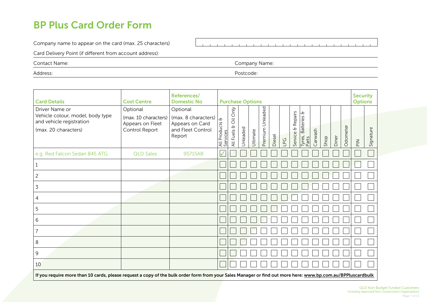## BP Plus Card Order Form

Company name to appear on the card (max. 25 characters)

 $\sim 10^{-1}$ 

Card Delivery Point (if different from account address):

Contact Name: Company Name:

Address: Postcode:

| <b>Card Details</b>                                                                                    | <b>Cost Centre</b>                                                     | References/<br><b>Domestic No</b>                                                 | <b>Purchase Options</b>                |                                                     |          |          |                     |        |     |                                  |                             | <b>Security</b><br><b>Options</b> |      |       |            |                                                |           |
|--------------------------------------------------------------------------------------------------------|------------------------------------------------------------------------|-----------------------------------------------------------------------------------|----------------------------------------|-----------------------------------------------------|----------|----------|---------------------|--------|-----|----------------------------------|-----------------------------|-----------------------------------|------|-------|------------|------------------------------------------------|-----------|
| Driver Name or<br>Vehicle colour, model, body type<br>and vehicle registration<br>(max. 20 characters) | Optional<br>(max. 10 characters)<br>Appears on Fleet<br>Control Report | Optional<br>(max. 8 characters)<br>Appears on Card<br>and Fleet Control<br>Report | $\sigma$<br>All Products &<br>Services | Only<br>$\overline{\overline{O}}$<br>P<br>All Fuels | Unleaded | Ultimate | Unleaded<br>Premium | Diesel | LPG | Repairs<br>$\theta$<br>Service & | Tyres, Batteries &<br>Parts | Carwash                           | Shop | Diner | Odometer   | $\mathop{\cong}\limits_{\mathop{\mathsf{PL}}}$ | Signature |
| e.g. Red Falcon Sedan 845 ATG                                                                          | <b>QLD Sales</b>                                                       | 95715AB                                                                           | $\sqrt{2}$                             |                                                     |          |          |                     |        |     |                                  |                             |                                   |      |       |            |                                                |           |
| 1                                                                                                      |                                                                        |                                                                                   |                                        |                                                     |          |          |                     |        |     |                                  |                             |                                   |      |       |            |                                                |           |
| $\overline{c}$                                                                                         |                                                                        |                                                                                   |                                        |                                                     |          |          |                     |        |     |                                  |                             |                                   |      |       |            |                                                |           |
| 3                                                                                                      |                                                                        |                                                                                   |                                        |                                                     |          |          |                     |        |     |                                  |                             |                                   |      |       |            |                                                |           |
| 4                                                                                                      |                                                                        |                                                                                   |                                        |                                                     |          |          |                     |        |     |                                  |                             |                                   |      |       |            |                                                |           |
| 5                                                                                                      |                                                                        |                                                                                   |                                        |                                                     |          |          |                     |        |     |                                  |                             |                                   |      |       |            |                                                |           |
| 6                                                                                                      |                                                                        |                                                                                   |                                        |                                                     |          |          |                     |        |     |                                  |                             |                                   |      |       |            |                                                |           |
| 7                                                                                                      |                                                                        |                                                                                   |                                        |                                                     |          |          |                     |        |     |                                  |                             |                                   |      |       |            |                                                |           |
| 8                                                                                                      |                                                                        |                                                                                   |                                        |                                                     |          |          |                     |        |     |                                  |                             |                                   |      |       |            |                                                |           |
| 9                                                                                                      |                                                                        |                                                                                   |                                        |                                                     |          |          |                     |        |     |                                  |                             |                                   |      |       |            |                                                |           |
| 10<br>$\overline{ }$                                                                                   |                                                                        |                                                                                   |                                        |                                                     |          |          |                     |        |     |                                  |                             |                                   |      |       | $\sqrt{2}$ |                                                |           |

If you require more than 10 cards, please request a copy of the bulk order form from your Sales Manager or find out more here: www.bp.com.au/BPPluscardbulk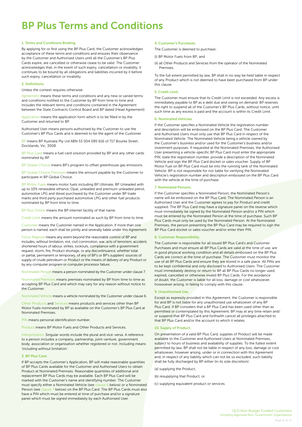# BP Plus Terms and Conditions

#### 1. Terms and Conditions Binding.

By applying for or first using the BP Plus Card, the Customer acknowledges acceptance of these terms and conditions and ensures their observance by the Customer and Authorised Users until all the Customer's BP Plus Cards expire, are cancelled or otherwise cease to be valid. The Customer acknowledges that, in the event of such expiry, cancellation or invalidity, it continues to be bound by all obligations and liabilities incurred by it before such expiry, cancellation or invalidity.

#### 2. Definitions.

Unless the context requires otherwise:

Agreement means these terms and conditions and any new or varied terms and conditions notified to the Customer by BP from time to time and includes the relevant terms and conditions contained in the Agreement between the State Contracts Control Board and BP dated (Head Agreement)

Application means the application form which is to be filled in by the Customer and returned to BP.

Authorised User means persons authorised by the Customer to use the Customer's BP Plus Cards and is deemed to be the agent of the Customer.

BP means BP Australia Pty Ltd ABN 53 004 085 616 of 717 Bourke Street, Docklands, Vic, 3008.

BP Plus Card means a fuel card solution provided by BP and any other cards nominated by BP.

BP Global Choice means BP's program to offset greenhouse gas emissions.

BP Global Choice Premium means the amount payable by the Customer to participate in BP Global Choice.

BP Motor Fuels means motor fuels including BP Ultimate, BP Unleaded with up to 10% renewable ethanol, Opal, unleaded and premium unleaded petrol, automotive LPG and diesel purchased by the Customer under BP trade marks and third party purchased automotive LPG and other fuel products nominated by BP from time to time.

BP Plus Online means the BP internet facility of that name.

Credit Limit means the amount nominated as such by BP from time to time.

Customer means the Customer named in the Application. If more than one person is named, each shall be jointly and severally liable under this Agreement.

Force Majeure means any event beyond the reasonable control of BP and includes, without limitation, riot, civil commotion, war, acts of terrorism, accident, shortened hours of labour, strikes, lockouts, compliance with a government request, storm, fire, Product shortage, or any discontinuance, whether total or partial, permanent or temporary, of any of BP's or BP's suppliers' sources of supply of crude petroleum or Product or the means of delivery of any Product or by any computer program or computer processor failure.

Nominated Person means a person nominated by the Customer under clause 7.

Nominated Premises means premises nominated by BP from time to time as accepting BP Plus Card and which may vary for any reason without notice to the Customer.

Nominated Vehicle means a vehicle nominated by the Customer under clause 6.

Other Products and Services means products and services other than BP Motor Fuels nominated by BP as available on the Customer's BP Plus Card at Nominated Premises.

PIN means personal identification number.

Product means BP Motor Fuels and Other Products and Services.

Interpretation. Singular words include the plural and vice-versa. A reference to a person includes a company, partnership, joint-venture, government body, association or organisation whether registered or not. Including means 'including without limitation'.

#### 3. BP Plus Card.

If BP accepts the Customer's Application, BP will make reasonable quantities of BP Plus Cards available for the Customer and Authorised Users to obtain Product at Nominated Premises. Reasonable quantities of additional and replacement BP Plus Cards may be available. Each BP Plus Card will be marked with the Customer's name and identifying number. The Customer must specify either a Nominated Vehicle (see clause 6 below) or a Nominated Person (see clause 7 below) on the BP Plus Card. The BP Plus Cards must also have a PIN which must be entered at time of purchase and/or a signature panel which must be signed immediately by each Authorised User.

#### 4. Customer's Purchases.

The Customer is deemed to purchase:

(i) BP Motor Fuels from BP; and

(ii) all Other Products and Services from the operator of the Nominated Premises.

To the full extent permitted by law, BP shall in no way be held liable in respect of any Product which is not deemed to have been purchased from BP under this clause.

#### 5. Credit Limit.

The Customer must ensure that its Credit Limit is not exceeded. Any excess is immediately payable to BP as a debt due and owing on demand. BP reserves the right to suspend all of the Customer's BP Plus Cards, without notice, until such time as any excess is paid and the account is within its Credit Limit.

#### 6. Nominated Vehicles.

If the Customer specifies a Nominated Vehicle the registration number and description will be embossed on the BP Plus Card. The Customer and Authorised Users must only use that BP Plus Card in respect of the Nominated Vehicle. The Nominated Vehicle being a vehicle owned by the Customer's business and/or used for the Customer's business and/or investment purposes. If requested at the Nominated Premises, the Authorised User presenting a vehicle-specific BP Plus Card must enter the appropriate PIN, state the registration number, provide a description of the Nominated Vehicle and sign the BP Plus Card docket or sales voucher. Supply of BP Motor Fuel on BP Plus Card must be into the running tank of the Nominated Vehicle. BP is not responsible for nor liable for verifying the Nominated Vehicle's registration number and description embossed on the BP Plus Card with the vehicle at the time of purchase.

#### 7. Nominated Persons.

If the Customer specifies a Nominated Person, the Nominated Person's name will be embossed on the BP Plus Card. The Nominated Person is an Authorised User and the Customer agrees to pay for Product and credit supplied. The BP Plus Card may have a signature panel on the reverse which must immediately be signed by the Nominated Person and/or a PIN which must be entered by the Nominated Person at the time of purchase. Such BP Plus Cards must only be used by the Nominated Person. At the Nominated Premises, the person presenting the BP Plus Card may be required to sign the BP Plus Card docket or sales voucher and/or enter their PIN.

#### 8. Customer Responsibility.

The Customer is responsible for all issued BP Plus Card's and Customer Purchases and must ensure all BP Plus Cards are valid at the time of use, are in good physical working condition and all details embossed on the BP Plus Cards are correct at the time of purchase. The Customer must monitor the use of all BP Plus Cards and ensure they are stored in a safe place. All PINs are to be kept confidential and only disclosed to Authorised Users. The Customer must immediately destroy or return to BP all BP Plus Cards no longer used, expired, cancelled or otherwise invalid BP Plus Cards. For the avoidance of doubt, the Customer is liable for all loss, damage or cost whatsoever, howsoever arising, in failing to comply with this clause.

#### 9. Unauthorised Use.

Except as expressly provided in this Agreement, the Customer is responsible for and BP is not liable for any unauthorised use whatsoever of any BP Plus Card. If BP considers that a BP Plus Card has been used other than as permitted or contemplated by this Agreement, BP may at any time retain and/ or suspend that BP Plus Card and forthwith cancel all privileges attached to that BP Plus Card and/or the account to which it relates.

#### 10. Supply of Product.

On presentation of a valid BP Plus Card, supplies of Product will be made available to the Customer and Authorised Users at Nominated Premises, subject to hours of business and availability of supplies. To the fullest extent permitted by law, BP shall not be liable in respect of any loss, damage or cost whatsoever, however arising, under or in connection with this Agreement and, in respect of any liability which can not be so excluded, such liability shall be fully discharged by BP either (in its sole discretion):

(a) supplying the Product;

- (b) resupplying that Product; or
- (c) supplying equivalent product or services.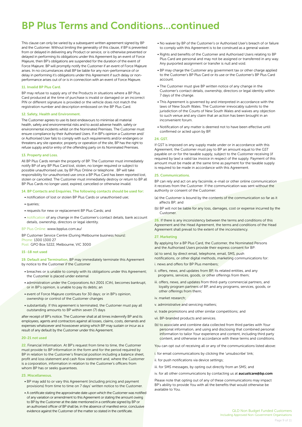# BP Plus Terms and Conditions...continued

This clause can only be varied by a subsequent written agreement signed by BP and the Customer. Without limiting the generality of this clause, if BP is prevented from or delayed in delivering any Product or service, or is otherwise prevented or delayed in performing its obligations under this Agreement by an event of Force Majeure, then BP's obligations are suspended for the duration of the event of Force Majeure. BP will promptly notify the Customer if an event of Force Majeure arises. In no circumstances shall BP be liable for any non-performance of or delay in performing it's obligations under this Agreement if such delay or nonperformance arises out of or is in connection with an event of Force Majeure.

#### 11. Invalid BP Plus Card.

BP may refuse to supply any of the Products in situations where a BP Plus Card produced at the time of purchase is invalid or damaged or an incorrect PIN or different signature is provided or the vehicle does not match the registration number and description embossed on the BP Plus Card.

#### 12. Safety, Health and Environment.

The Customer agrees to use its best endeavours to minimise all material health, safety and environmental risks and to avoid adverse health, safety or environmental incidents whilst on the Nominated Premises. The Customer must ensure compliance by their Authorised Users. If in BP's opinion a Customer and/ or Authorised User fails to comply with such requirements and/or endangers or threatens any site operator, property or operation of the site, BP has the right to refuse supply and/or entry of the offending party on its Nominated Premises.

#### 13. Property and Loss.

All BP Plus Cards remain the property of BP. The Customer must immediately notify BP of any BP Plus Card lost, stolen, no longer required or subject to possible unauthorised use, by BP Plus Online or telephone . BP will take responsibility for unauthorised use once a BP Plus Card has been reported lost, stolen or cancelled. The Customer must immediately destroy or return to BP all BP Plus Cards no longer used, expired, cancelled or otherwise invalid.

#### 14. BP Contacts and Enquiries. The following contacts should be used for:

- notification of lost or stolen BP Plus Cards or unauthorised use;
- queries;
- requests for new or replacement BP Plus Cards; and
- notification of any change in the Customer's contact details, bank account details, ownership, directors or legal identity.

#### BP Plus Online: www.bpplus.com.au/

BP Customer Service Centre (During Melbourne business hours): Phone: 1300 1300 27

Post: GPO Box 5222, Melbourne, VIC 3000

#### 15 -18 not used

19. Default and Termination. BP may immediately terminate this Agreement by notice to the Customer if the Customer

- breaches or is unable to comply with its obligations under this Agreement; the Customer is placed under external
- administration under the Corporations Act 2001 (Cth), becomes bankrupt, or in BP's opinion, is unable to pay its debts; an
- event of Force Majeure continues for 30 days; or in BP's opinion, ownership or control of the Customer changes
- substantially. If this agreement is terminated, the Customer must pay all outstanding amounts to BP within seven (7) days

after receipt of BP's notice. The Customer shall at all times indemnify BP and its employees, agents and contractors against all losses, claims, costs, demands and expenses whatsoever and howsoever arising which BP may sustain or incur as a result of any default by the Customer under this Agreement.

#### 20-21 not used

22. Financial Information. At BP's request from time to time, the Customer must provide to BP information in the form and for the period required by BP in relation to the Customer's financial position including a balance sheet, profit and loss statement and cash flow statement and, where the Customer is a corporation, information in relation to the Customer's officers from whom BP has or seeks guarantees.

#### 23. Miscellaneous.

- BP may add to or vary this Agreement (including pricing and payment provisions) from time to time on 7 days' written notice to the Customer.
- A certificate stating the approximate date upon which the Customer was notified of any variation or amendment to this Agreement or stating the amount owing to BP by the Customer at the date mentioned in a certificate signed by BP or an authorised officer of BP shall be, in the absence of manifest error, conclusive evidence against the Customer of the matter so stated in the certificate.
- No waiver by BP of the Customer's or Authorised User's breach of or failure to comply with this Agreement is to be construed as a general waiver.
- Rights and benefits of the Customer and Authorised Users relating to BP Plus Card are personal and may not be assigned or transferred in any way. Any purported assignment or transfer is null and void.
- BP may charge the Customer any government tax or other charge applied to the Customer's BP Plus Card or its use or the Customer's BP Plus Card account.
- The Customer must give BP written notice of any change in the Customer's contact details, ownership, directors or legal identity within 7 days of the change.
- This Agreement is governed by and interpreted in accordance with the laws of New South Wales. The Customer irrevocably submits to the jurisdiction of the Courts of New South Wales and waives any objection to such venue and any claim that an action has been brought in an inconvenient forum.
- Notification of any matter is deemed not to have been effective until confirmed or acted upon by BP.

#### 24. GST.

If GST is imposed on any supply made under or in accordance with this Agreement, the Customer must pay to BP an amount equal to the GST payable on or for the taxable supply, subject to the Customer receiving (if required by law) a valid tax invoice in respect of the supply. Payment of this amount must be made at the same time as payment for the taxable supply is required to be made in accordance with this Agreement.

#### 25. Communications.

BP can rely and act on any facsimile, e-mail or other online communication it receives from the Customer. If the communication was sent without the authority or consent of the Customer:

- (a) the Customer is bound by the contents of the communication so far as it affects BP; and
- (b) BP will not be liable for any loss, damages, cost or expense incurred by the Customer.

26. If there is any inconsistency between the terms and conditions of this Agreement and the Head Agreement, the terms and conditions of the Head Agreement shall prevail to the extent of the inconsistency.

#### 27. Marketing

By applying for a BP Plus Card, the Customer, the Nominated Persons and the Authorised Users provide their express consent for BP:

(a) to send, by direct email, telephone, email, SMS, push

notifications, or other digital methods, marketing communications for:

- i. news and offers for BP Plus members;
- ii. offers, news, and updates from BP, its related entities, and any programs, services, goods, or other offerings from them;
- iii. offers, news, and updates from third-party commercial partners, and loyalty program partners of BP, and any programs, services, goods, or other offerings from them;
- iv. market research;
- v. administrative and servicing matters;
- vi. trade promotions and other similar competitions; and
- vii. BP-branded products and services.
- (b) to associate and combine data collected from third parties with Your personal information, and using and disclosing that combined personal information to tailor Your experience and content, including third party content, and otherwise in accordance with these terms and conditions.

You can opt out of receiving all or any of the communications listed above:

i. for email communications by clicking the 'unsubscribe' link;

ii. for push notifications via device settings;

iii. for SMS messages, by opting out directly from an SMS; and

iv. for all other communications by contacting us at **aucustcare@bp.com** 

Please note that opting out of any of these communications may impact BP's ability to provide You with all the benefits that would otherwise be available to You.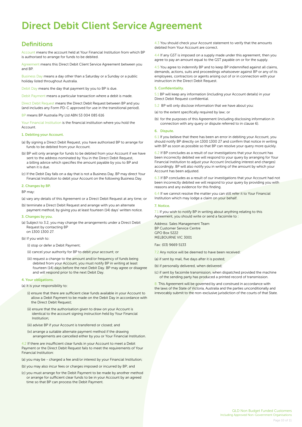# Direct Debit Client Service Agreement

## **Definitions**

Account means the account held at Your Financial Institution from which BP is authorised to arrange for funds to be debited.

Agreement means this Direct Debit Client Service Agreement between you and BP.

Business Day means a day other than a Saturday or a Sunday or a public holiday listed throughout Australia.

Debit Day means the day that payment by you to BP is due.

Debit Payment means a particular transaction where a debit is made.

Direct Debit Request means the Direct Debit Request between BP and you (and includes any Form PD-C approved for use in the transitional period).

BP means BP Australia Pty Ltd ABN 53 004 085 616

Your Financial Institution is the financial institution where you hold the **Account** 

#### 1. Debiting your Account.

(a) By signing a Direct Debit Request, you have authorised BP to arrange for funds to be debited from your Account.

- (b) BP will only arrange for funds to be debited from your Account if we have sent to the address nominated by You in the Direct Debit Request, a billing advice which specifies the amount payable by you to BP and when it is due.
- (c) If the Debit Day falls on a day that is not a Business Day, BP may direct Your Financial Institution to debit your Account on the following Business Day.

#### 2. Changes by BP.

BP may:

(a) vary any details of this Agreement or a Direct Debit Request at any time; or

(b) terminate a Direct Debit Request and arrange with you an alternate payment method, by giving you at least fourteen (14) days' written notice.

#### 3. Changes by you.

(a) Subject to 3.2, you may change the arrangements under a Direct Debit Request by contacting BP on 1300 1300 27.

(b) If you wish to:

(i) stop or defer a Debit Payment;

(ii) cancel your authority for BP to debit your account; or

(iii) request a change to the amount and/or frequency of funds being debited from your Account, you must notify BP in writing at least fourteen (14) days before the next Debit Day. BP may agree or disagree and will respond prior to the next Debit Day.

#### 4. Your obligations.

(a) It is your responsibility to:

- (i) ensure that there are sufficient clear funds available in your Account to allow a Debit Payment to be made on the Debit Day in accordance with the Direct Debit Request;
- (ii) ensure that the authorisation given to draw on your Account is identical to the account signing instruction held by Your Financial Institution;
- (iii) advise BP if your Account is transferred or closed; and
- (iv) arrange a suitable alternate payment method if the drawing arrangements are cancelled either by you or Your Financial Institution.

4.2 If there are insufficient clear funds in your Account to meet a Debit Payment or the Direct Debit Request fails to meet the requirements of Your Financial Institution:

(a) you may be - charged a fee and/or interest by your Financial Institution;

(b) you may also incur fees or charges imposed or incurred by BP; and

(c) you must arrange for the Debit Payment to be made by another method or arrange for sufficient clear funds to be in your Account by an agreed time so that BP can process the Debit Payment.

4.3 You should check your Account statement to verify that the amounts debited from Your Account are correct.

4.4 If any GST is imposed on a supply made under this agreement, then you agree to pay an amount equal to the GST payable on or for the supply.

4.5 You agree to indemnify BP and to keep BP indemnified against all claims, demands, actions, suits and proceedings whatsoever against BP or any of its employees, contractors or agents arising out of or in connection with your instruction in the Direct Debit Request.

#### 5. Confidentiality.

5.1 BP will keep any information (including your Account details) in your Direct Debit Request confidential.

5.2 BP will only disclose information that we have about you:

(a) to the extent specifically required by law; or

(b) for the purposes of this Agreement (including disclosing information in connection with any query or dispute referred to in clause 6).

#### 6. Dispute.

6.1 If you believe that there has been an error in debiting your Account, you should notify BP directly on 1300 1300 27 and confirm that notice in writing with BP as soon as possible so that BP can resolve your query more quickly.

6.2 If BP concludes as a result of our investigations that your Account has been incorrectly debited we will respond to your query by arranging for Your Financial Institution to adjust your Account (including interest and charges) accordingly. BP will also notify you in writing of the amount by which your Account has been adjusted.

6.3 If BP concludes as a result of our investigations that your Account had not been incorrectly debited we will respond to your query by providing you with reasons and any evidence for this finding.

6.4 If we cannot resolve the matter you can still refer it to Your Financial Institution which may lodge a claim on your behalf.

#### 7. Notice.

7.1 If you wish to notify BP in writing about anything relating to this Agreement, you should write or send a facsimile to :

Address: Sales Management Team BP Customer Service Centre GPO Box 5222 MELBOURNE VIC 3001

Fax: (03) 9669 5133

7.2 Any notice will be deemed to have been received:

(a) if sent by mail, five days after it is posted;

(b) if personally delivered, when delivered;

(c) if sent by facsimile transmission, when dispatched provided the machine of the sending party has produced a printed record of transmission.

8. This Agreement will be governed by and construed in accordance with the laws of the State of Victoria, Australia and the parties unconditionally and irrevocably submit to the non-exclusive jurisdiction of the courts of that State.